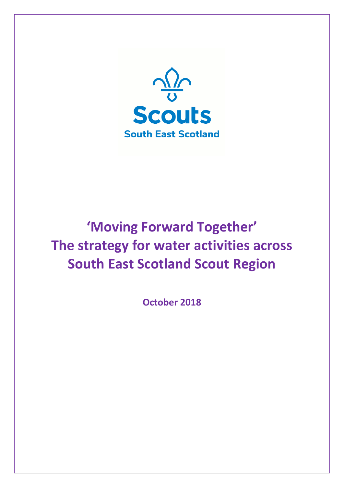

# **'Moving Forward Together' The strategy for water activities across South East Scotland Scout Region**

**October 2018**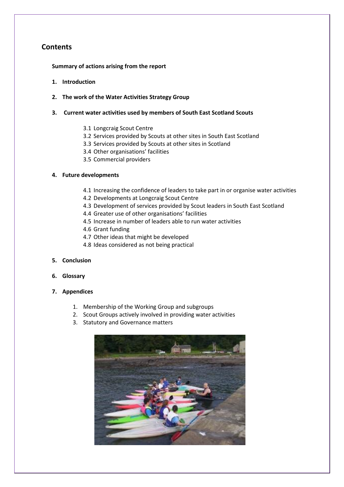# **Contents**

**Summary of actions arising from the report**

- **1. Introduction**
- **2. The work of the Water Activities Strategy Group**
- **3. Current water activities used by members of South East Scotland Scouts**
	- 3.1 Longcraig Scout Centre
	- 3.2 Services provided by Scouts at other sites in South East Scotland
	- 3.3 Services provided by Scouts at other sites in Scotland
	- 3.4 Other organisations' facilities
	- 3.5 Commercial providers

#### **4. Future developments**

- 4.1 Increasing the confidence of leaders to take part in or organise water activities
- 4.2 Developments at Longcraig Scout Centre
- 4.3 Development of services provided by Scout leaders in South East Scotland
- 4.4 Greater use of other organisations' facilities
- 4.5 Increase in number of leaders able to run water activities
- 4.6 Grant funding
- 4.7 Other ideas that might be developed
- 4.8 Ideas considered as not being practical
- **5. Conclusion**
- **6. Glossary**
- **7. Appendices**
	- 1. Membership of the Working Group and subgroups
	- 2. Scout Groups actively involved in providing water activities
	- 3. Statutory and Governance matters

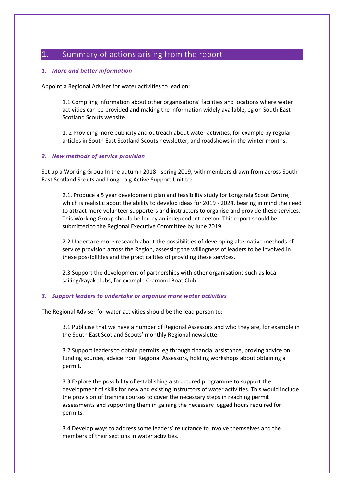# 1. Summary of actions arising from the report

#### *1. More and better information*

Appoint a Regional Adviser for water activities to lead on:

1.1 Compiling information about other organisations' facilities and locations where water activities can be provided and making the information widely available, eg on South East Scotland Scouts website.

1. 2 Providing more publicity and outreach about water activities, for example by regular articles in South East Scotland Scouts newsletter, and roadshows in the winter months.

#### *2. New methods of service provision*

Set up a Working Group In the autumn 2018 - spring 2019, with members drawn from across South East Scotland Scouts and Longcraig Active Support Unit to:

2.1. Produce a 5 year development plan and feasibility study for Longcraig Scout Centre, which is realistic about the ability to develop ideas for 2019 - 2024, bearing in mind the need to attract more volunteer supporters and instructors to organise and provide these services. This Working Group should be led by an independent person. This report should be submitted to the Regional Executive Committee by June 2019.

2.2 Undertake more research about the possibilities of developing alternative methods of service provision across the Region, assessing the willingness of leaders to be involved in these possibilities and the practicalities of providing these services.

2.3 Support the development of partnerships with other organisations such as local sailing/kayak clubs, for example Cramond Boat Club.

#### *3. Support leaders to undertake or organise more water activities*

The Regional Adviser for water activities should be the lead person to:

3.1 Publicise that we have a number of Regional Assessors and who they are, for example in the South East Scotland Scouts' monthly Regional newsletter.

3.2 Support leaders to obtain permits, eg through financial assistance, proving advice on funding sources, advice from Regional Assessors, holding workshops about obtaining a permit.

3.3 Explore the possibility of establishing a structured programme to support the development of skills for new and existing instructors of water activities. This would include the provision of training courses to cover the necessary steps in reaching permit assessments and supporting them in gaining the necessary logged hours required for permits.

3.4 Develop ways to address some leaders' reluctance to involve themselves and the members of their sections in water activities.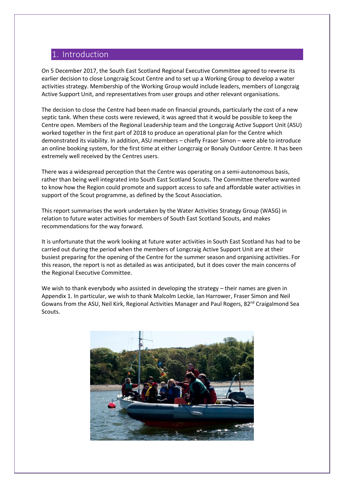# 1. Introduction

On 5 December 2017, the South East Scotland Regional Executive Committee agreed to reverse its earlier decision to close Longcraig Scout Centre and to set up a Working Group to develop a water activities strategy. Membership of the Working Group would include leaders, members of Longcraig Active Support Unit, and representatives from user groups and other relevant organisations.

The decision to close the Centre had been made on financial grounds, particularly the cost of a new septic tank. When these costs were reviewed, it was agreed that it would be possible to keep the Centre open. Members of the Regional Leadership team and the Longcraig Active Support Unit (ASU) worked together in the first part of 2018 to produce an operational plan for the Centre which demonstrated its viability. In addition, ASU members – chiefly Fraser Simon – were able to introduce an online booking system, for the first time at either Longcraig or Bonaly Outdoor Centre. It has been extremely well received by the Centres users.

There was a widespread perception that the Centre was operating on a semi-autonomous basis, rather than being well integrated into South East Scotland Scouts. The Committee therefore wanted to know how the Region could promote and support access to safe and affordable water activities in support of the Scout programme, as defined by the Scout Association.

This report summarises the work undertaken by the Water Activities Strategy Group (WASG) in relation to future water activities for members of South East Scotland Scouts, and makes recommendations for the way forward.

It is unfortunate that the work looking at future water activities in South East Scotland has had to be carried out during the period when the members of Longcraig Active Support Unit are at their busiest preparing for the opening of the Centre for the summer season and organising activities. For this reason, the report is not as detailed as was anticipated, but it does cover the main concerns of the Regional Executive Committee.

We wish to thank everybody who assisted in developing the strategy – their names are given in Appendix 1. In particular, we wish to thank Malcolm Leckie, Ian Harrower, Fraser Simon and Neil Gowans from the ASU, Neil Kirk, Regional Activities Manager and Paul Rogers, 82<sup>nd</sup> Craigalmond Sea Scouts.

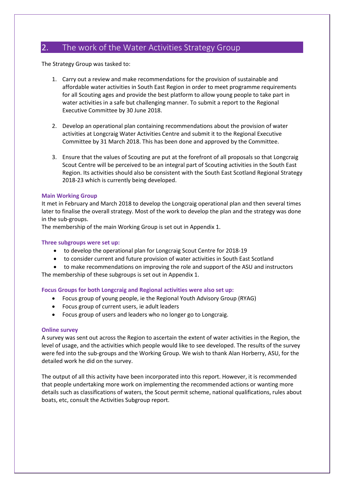# 2. The work of the Water Activities Strategy Group

The Strategy Group was tasked to:

- 1. Carry out a review and make recommendations for the provision of sustainable and affordable water activities in South East Region in order to meet programme requirements for all Scouting ages and provide the best platform to allow young people to take part in water activities in a safe but challenging manner. To submit a report to the Regional Executive Committee by 30 June 2018.
- 2. Develop an operational plan containing recommendations about the provision of water activities at Longcraig Water Activities Centre and submit it to the Regional Executive Committee by 31 March 2018. This has been done and approved by the Committee.
- 3. Ensure that the values of Scouting are put at the forefront of all proposals so that Longcraig Scout Centre will be perceived to be an integral part of Scouting activities in the South East Region. Its activities should also be consistent with the South East Scotland Regional Strategy 2018-23 which is currently being developed.

#### **Main Working Group**

It met in February and March 2018 to develop the Longcraig operational plan and then several times later to finalise the overall strategy. Most of the work to develop the plan and the strategy was done in the sub-groups.

The membership of the main Working Group is set out in Appendix 1.

#### **Three subgroups were set up:**

- to develop the operational plan for Longcraig Scout Centre for 2018-19
- to consider current and future provision of water activities in South East Scotland
- to make recommendations on improving the role and support of the ASU and instructors The membership of these subgroups is set out in Appendix 1.

- **Focus Groups for both Longcraig and Regional activities were also set up:**
	- Focus group of young people, ie the Regional Youth Advisory Group (RYAG)
	- Focus group of current users, ie adult leaders
	- Focus group of users and leaders who no longer go to Longcraig.

#### **Online survey**

A survey was sent out across the Region to ascertain the extent of water activities in the Region, the level of usage, and the activities which people would like to see developed. The results of the survey were fed into the sub-groups and the Working Group. We wish to thank Alan Horberry, ASU, for the detailed work he did on the survey.

The output of all this activity have been incorporated into this report. However, it is recommended that people undertaking more work on implementing the recommended actions or wanting more details such as classifications of waters, the Scout permit scheme, national qualifications, rules about boats, etc, consult the Activities Subgroup report.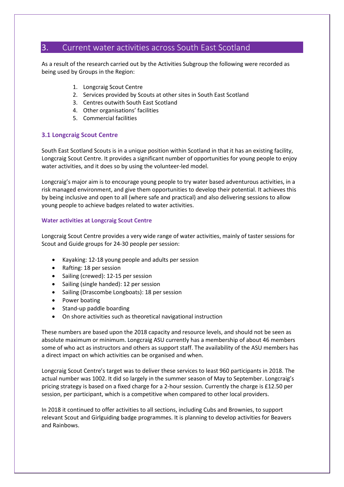# 3. Current water activities across South East Scotland

As a result of the research carried out by the Activities Subgroup the following were recorded as being used by Groups in the Region:

- 1. Longcraig Scout Centre
- 2. Services provided by Scouts at other sites in South East Scotland
- 3. Centres outwith South East Scotland
- 4. Other organisations' facilities
- 5. Commercial facilities

#### **3.1 Longcraig Scout Centre**

South East Scotland Scouts is in a unique position within Scotland in that it has an existing facility, Longcraig Scout Centre. It provides a significant number of opportunities for young people to enjoy water activities, and it does so by using the volunteer-led model.

Longcraig's major aim is to encourage young people to try water based adventurous activities, in a risk managed environment, and give them opportunities to develop their potential. It achieves this by being inclusive and open to all (where safe and practical) and also delivering sessions to allow young people to achieve badges related to water activities.

#### **Water activities at Longcraig Scout Centre**

Longcraig Scout Centre provides a very wide range of water activities, mainly of taster sessions for Scout and Guide groups for 24-30 people per session:

- Kayaking: 12-18 young people and adults per session
- Rafting: 18 per session
- Sailing (crewed): 12-15 per session
- Sailing (single handed): 12 per session
- Sailing (Drascombe Longboats): 18 per session
- Power boating
- Stand-up paddle boarding
- On shore activities such as theoretical navigational instruction

These numbers are based upon the 2018 capacity and resource levels, and should not be seen as absolute maximum or minimum. Longcraig ASU currently has a membership of about 46 members some of who act as instructors and others as support staff. The availability of the ASU members has a direct impact on which activities can be organised and when.

Longcraig Scout Centre's target was to deliver these services to least 960 participants in 2018. The actual number was 1002. It did so largely in the summer season of May to September. Longcraig's pricing strategy is based on a fixed charge for a 2-hour session. Currently the charge is £12.50 per session, per participant, which is a competitive when compared to other local providers.

In 2018 it continued to offer activities to all sections, including Cubs and Brownies, to support relevant Scout and Girlguiding badge programmes. It is planning to develop activities for Beavers and Rainbows.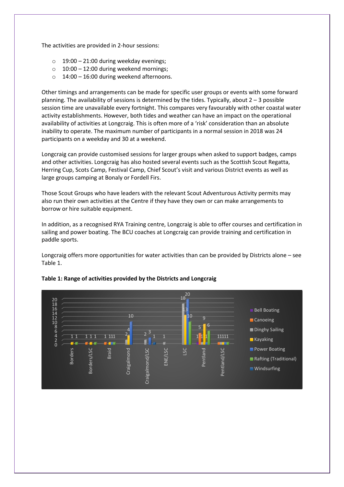The activities are provided in 2-hour sessions:

- $\circ$  19:00 21:00 during weekday evenings;
- $\circ$  10:00 12:00 during weekend mornings;
- o 14:00 16:00 during weekend afternoons.

Other timings and arrangements can be made for specific user groups or events with some forward planning. The availability of sessions is determined by the tides. Typically, about 2 – 3 possible session time are unavailable every fortnight. This compares very favourably with other coastal water activity establishments. However, both tides and weather can have an impact on the operational availability of activities at Longcraig. This is often more of a 'risk' consideration than an absolute inability to operate. The maximum number of participants in a normal session in 2018 was 24 participants on a weekday and 30 at a weekend.

Longcraig can provide customised sessions for larger groups when asked to support badges, camps and other activities. Longcraig has also hosted several events such as the Scottish Scout Regatta, Herring Cup, Scots Camp, Festival Camp, Chief Scout's visit and various District events as well as large groups camping at Bonaly or Fordell Firs.

Those Scout Groups who have leaders with the relevant Scout Adventurous Activity permits may also run their own activities at the Centre if they have they own or can make arrangements to borrow or hire suitable equipment.

In addition, as a recognised RYA Training centre, Longcraig is able to offer courses and certification in sailing and power boating. The BCU coaches at Longcraig can provide training and certification in paddle sports.

Longcraig offers more opportunities for water activities than can be provided by Districts alone – see Table 1.



#### **Table 1: Range of activities provided by the Districts and Longcraig**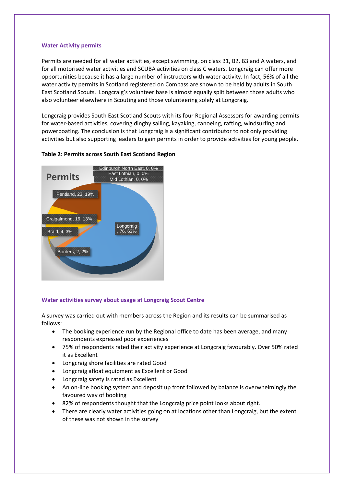#### **Water Activity permits**

Permits are needed for all water activities, except swimming, on class B1, B2, B3 and A waters, and for all motorised water activities and SCUBA activities on class C waters. Longcraig can offer more opportunities because it has a large number of instructors with water activity. In fact, 56% of all the water activity permits in Scotland registered on Compass are shown to be held by adults in South East Scotland Scouts. Longcraig's volunteer base is almost equally split between those adults who also volunteer elsewhere in Scouting and those volunteering solely at Longcraig.

Longcraig provides South East Scotland Scouts with its four Regional Assessors for awarding permits for water-based activities, covering dinghy sailing, kayaking, canoeing, rafting, windsurfing and powerboating. The conclusion is that Longcraig is a significant contributor to not only providing activities but also supporting leaders to gain permits in order to provide activities for young people.

#### **Table 2: Permits across South East Scotland Region**



#### **Water activities survey about usage at Longcraig Scout Centre**

A survey was carried out with members across the Region and its results can be summarised as follows:

- The booking experience run by the Regional office to date has been average, and many respondents expressed poor experiences
- 75% of respondents rated their activity experience at Longcraig favourably. Over 50% rated it as Excellent
- Longcraig shore facilities are rated Good
- Longcraig afloat equipment as Excellent or Good
- Longcraig safety is rated as Excellent
- An on-line booking system and deposit up front followed by balance is overwhelmingly the favoured way of booking
- 82% of respondents thought that the Longcraig price point looks about right.
- There are clearly water activities going on at locations other than Longcraig, but the extent of these was not shown in the survey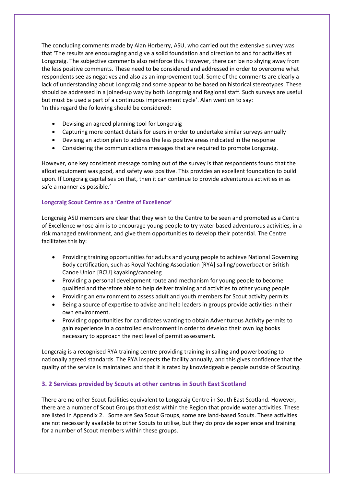The concluding comments made by Alan Horberry, ASU, who carried out the extensive survey was that 'The results are encouraging and give a solid foundation and direction to and for activities at Longcraig. The subjective comments also reinforce this. However, there can be no shying away from the less positive comments. These need to be considered and addressed in order to overcome what respondents see as negatives and also as an improvement tool. Some of the comments are clearly a lack of understanding about Longcraig and some appear to be based on historical stereotypes. These should be addressed in a joined-up way by both Longcraig and Regional staff. Such surveys are useful but must be used a part of a continuous improvement cycle'. Alan went on to say: 'In this regard the following should be considered:

- Devising an agreed planning tool for Longcraig
- Capturing more contact details for users in order to undertake similar surveys annually
- Devising an action plan to address the less positive areas indicated in the response
- Considering the communications messages that are required to promote Longcraig.

However, one key consistent message coming out of the survey is that respondents found that the afloat equipment was good, and safety was positive. This provides an excellent foundation to build upon. If Longcraig capitalises on that, then it can continue to provide adventurous activities in as safe a manner as possible.'

#### **Longcraig Scout Centre as a 'Centre of Excellence'**

Longcraig ASU members are clear that they wish to the Centre to be seen and promoted as a Centre of Excellence whose aim is to encourage young people to try water based adventurous activities, in a risk managed environment, and give them opportunities to develop their potential. The Centre facilitates this by:

- Providing training opportunities for adults and young people to achieve National Governing Body certification, such as Royal Yachting Association [RYA] sailing/powerboat or British Canoe Union [BCU] kayaking/canoeing
- Providing a personal development route and mechanism for young people to become qualified and therefore able to help deliver training and activities to other young people
- Providing an environment to assess adult and youth members for Scout activity permits
- Being a source of expertise to advise and help leaders in groups provide activities in their own environment.
- Providing opportunities for candidates wanting to obtain Adventurous Activity permits to gain experience in a controlled environment in order to develop their own log books necessary to approach the next level of permit assessment.

Longcraig is a recognised RYA training centre providing training in sailing and powerboating to nationally agreed standards. The RYA inspects the facility annually, and this gives confidence that the quality of the service is maintained and that it is rated by knowledgeable people outside of Scouting.

### **3. 2 Services provided by Scouts at other centres in South East Scotland**

There are no other Scout facilities equivalent to Longcraig Centre in South East Scotland. However, there are a number of Scout Groups that exist within the Region that provide water activities. These are listed in Appendix 2. Some are Sea Scout Groups, some are land-based Scouts. These activities are not necessarily available to other Scouts to utilise, but they do provide experience and training for a number of Scout members within these groups.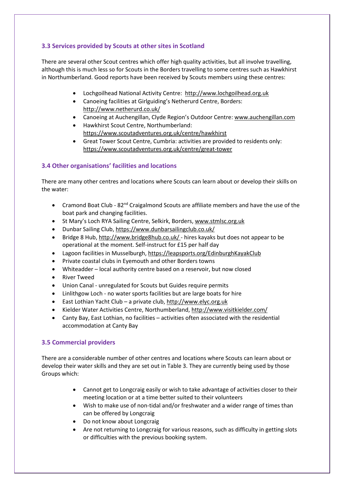#### **3.3 Services provided by Scouts at other sites in Scotland**

There are several other Scout centres which offer high quality activities, but all involve travelling, although this is much less so for Scouts in the Borders travelling to some centres such as Hawkhirst in Northumberland. Good reports have been received by Scouts members using these centres:

- Lochgoilhead National Activity Centre: [http://www.lochgoilhead.org.uk](http://www.lochgoilhead.org.uk/)
- Canoeing facilities at Girlguiding's Netherurd Centre, Borders: <http://www.netherurd.co.uk/>
- Canoeing at Auchengillan, Clyde Region's Outdoor Centre: [www.auchengillan.com](http://www.auchengillan.com/)
- Hawkhirst Scout Centre, Northumberland: <https://www.scoutadventures.org.uk/centre/hawkhirst>
- Great Tower Scout Centre, Cumbria: activities are provided to residents only: <https://www.scoutadventures.org.uk/centre/great-tower>

#### **3.4 Other organisations' facilities and locations**

There are many other centres and locations where Scouts can learn about or develop their skills on the water:

- Cramond Boat Club 82<sup>nd</sup> Craigalmond Scouts are affiliate members and have the use of the boat park and changing facilities.
- St Mary's Loch RYA Sailing Centre, Selkirk, Borders[, www.stmlsc.org.uk](http://www.stmlsc.org.uk/)
- Dunbar Sailing Club, <https://www.dunbarsailingclub.co.uk/>
- Bridge 8 Hub, <http://www.bridge8hub.co.uk/> hires kayaks but does not appear to be operational at the moment. Self-instruct for £15 per half day
- Lagoon facilities in Musselburgh, <https://leapsports.org/EdinburghKayakClub>
- Private coastal clubs in Eyemouth and other Borders towns
- Whiteadder local authority centre based on a reservoir, but now closed
- **River Tweed**
- Union Canal unregulated for Scouts but Guides require permits
- Linlithgow Loch no water sports facilities but are large boats for hire
- East Lothian Yacht Club a private club, [http://www.elyc.org.uk](http://www.elyc.org.uk/)
- Kielder Water Activities Centre, Northumberland,<http://www.visitkielder.com/>
- Canty Bay, East Lothian, no facilities activities often associated with the residential accommodation at Canty Bay

#### **3.5 Commercial providers**

There are a considerable number of other centres and locations where Scouts can learn about or develop their water skills and they are set out in Table 3. They are currently being used by those Groups which:

- Cannot get to Longcraig easily or wish to take advantage of activities closer to their meeting location or at a time better suited to their volunteers
- Wish to make use of non-tidal and/or freshwater and a wider range of times than can be offered by Longcraig
- Do not know about Longcraig
- Are not returning to Longcraig for various reasons, such as difficulty in getting slots or difficulties with the previous booking system.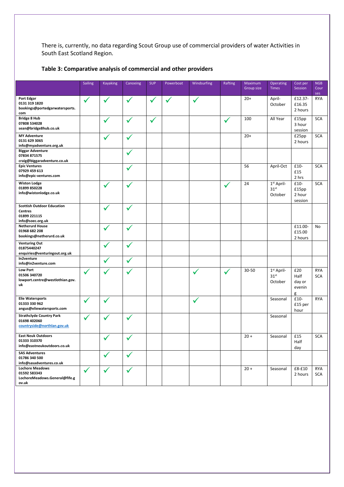There is, currently, no data regarding Scout Group use of commercial providers of water Activities in South East Scotland Region.

|                                                                                         | <b>Sailing</b> | <b>Kayaking</b> | Canoeing     | <b>SUP</b>   | Powerboat | Windsurfing | Rafting      | Maximum<br>Group size | Operating<br><b>Times</b>                             | Cost per<br>Session                  | <b>NGB</b><br>Cour       |
|-----------------------------------------------------------------------------------------|----------------|-----------------|--------------|--------------|-----------|-------------|--------------|-----------------------|-------------------------------------------------------|--------------------------------------|--------------------------|
|                                                                                         |                |                 |              |              |           |             |              |                       |                                                       |                                      | ses                      |
| Port Edgar<br>0131 319 1820<br>bookings@portedgarwatersports.<br>com                    | $\checkmark$   | $\checkmark$    | ✓            | ✔            | ✔         | ✓           |              | $20+$                 | April-<br>October                                     | £12.37-<br>£16.35<br>2 hours         | <b>RYA</b>               |
| <b>Bridge 8 Hub</b><br>07808 534028<br>sean@bridge8hub.co.uk                            |                |                 | ✓            | $\checkmark$ |           |             | $\checkmark$ | 100                   | All Year                                              | £15pp<br>3 hour<br>session           | <b>SCA</b>               |
| <b>MY Adventure</b><br>0131 629 3065<br>info@myadventure.org.uk                         |                |                 | $\checkmark$ |              |           |             |              | $20+$                 |                                                       | £25pp<br>2 hours                     | <b>SCA</b>               |
| <b>Biggar Adventure</b><br>07834 871575<br>craig@biggaradventure.co.uk                  |                |                 | ✔            |              |           |             |              |                       |                                                       |                                      |                          |
| <b>Epic Ventures</b><br>07929 459 613<br>info@epic-ventures.com                         |                |                 |              |              |           |             |              | 56                    | April-Oct                                             | £10-<br>£15<br>2 hrs                 | <b>SCA</b>               |
| <b>Wiston Lodge</b><br>01899 850228<br>info@wistonlodge.co.uk                           |                | $\checkmark$    | $\checkmark$ |              |           |             | $\checkmark$ | 24                    | $1st$ April-<br>31 <sup>st</sup><br>October           | £10-<br>£15pp<br>2 hour<br>session   | <b>SCA</b>               |
| <b>Scottish Outdoor Education</b><br><b>Centres</b><br>01899 221115<br>info@soec.org.uk |                |                 | ✓            |              |           |             |              |                       |                                                       |                                      |                          |
| <b>Netherurd House</b><br>01968 682 208<br>bookings@netherurd.co.uk                     |                |                 | ✓            |              |           |             |              |                       |                                                       | £11.00-<br>£15.00<br>2 hours         | No                       |
| <b>Venturing Out</b><br>01875440247<br>enquiries@venturingout.org.uk                    |                |                 | ✓            |              |           |             |              |                       |                                                       |                                      |                          |
| In2venture<br>info@in2venture.com                                                       |                |                 | $\checkmark$ |              |           |             |              |                       |                                                       |                                      |                          |
| <b>Low Port</b><br>01506 340720<br>lowport.centre@westlothian.gov.<br>uk                | ✓              |                 |              |              |           |             | ✔            | 30-50                 | 1 <sup>st</sup> April-<br>31 <sup>st</sup><br>October | £20<br>Half<br>day or<br>evenin<br>g | <b>RYA</b><br><b>SCA</b> |
| <b>Elie Watersports</b><br>01333 330 962<br>angus@eliewatersports.com                   | ✓              | ✓               |              |              |           | ✓           |              |                       | Seasonal                                              | £10-<br>£15 per<br>hour              | <b>RYA</b>               |
| <b>Strathclyde Country Park</b><br>01698 402060<br>countryside@northlan.gov.uk          | ✓              | $\checkmark$    | ✓            |              |           |             |              |                       | Seasonal                                              |                                      |                          |
| <b>East Neuk Outdoors</b><br>01333 310370<br>info@eastneukoutdoors.co.uk                |                |                 | ╱            |              |           |             |              | $20 +$                | Seasonal                                              | £15<br>Half<br>day                   | <b>SCA</b>               |
| <b>SAS Adventures</b><br>01786 340 500<br>info@sasadventures.co.uk                      |                | $\checkmark$    | $\checkmark$ |              |           |             |              |                       |                                                       |                                      |                          |
| <b>Lochore Meadows</b><br>01592 583343<br>LochoreMeadows.General@fife.g<br>ov.uk        | ✓              | $\checkmark$    | $\checkmark$ |              |           |             |              | $20 +$                | Seasonal                                              | £8-£10<br>2 hours                    | <b>RYA</b><br>SCA        |

## **Table 3: Comparative analysis of commercial and other providers**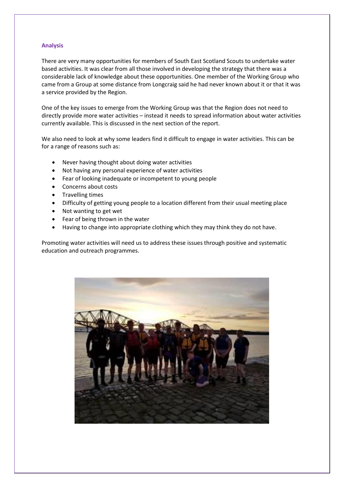#### **Analysis**

There are very many opportunities for members of South East Scotland Scouts to undertake water based activities. It was clear from all those involved in developing the strategy that there was a considerable lack of knowledge about these opportunities. One member of the Working Group who came from a Group at some distance from Longcraig said he had never known about it or that it was a service provided by the Region.

One of the key issues to emerge from the Working Group was that the Region does not need to directly provide more water activities – instead it needs to spread information about water activities currently available. This is discussed in the next section of the report.

We also need to look at why some leaders find it difficult to engage in water activities. This can be for a range of reasons such as:

- Never having thought about doing water activities
- Not having any personal experience of water activities
- Fear of looking inadequate or incompetent to young people
- Concerns about costs
- Travelling times
- Difficulty of getting young people to a location different from their usual meeting place
- Not wanting to get wet
- Fear of being thrown in the water
- Having to change into appropriate clothing which they may think they do not have.

Promoting water activities will need us to address these issues through positive and systematic education and outreach programmes.

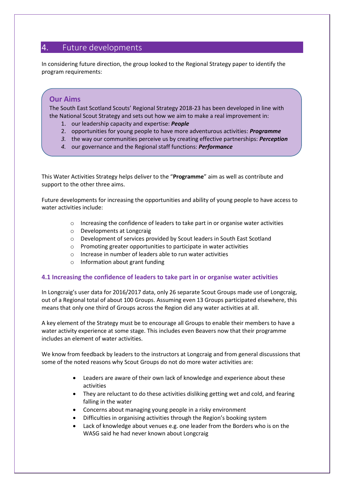# 4. Future developments

In considering future direction, the group looked to the Regional Strategy paper to identify the program requirements:

# **Our Aims**

The South East Scotland Scouts' Regional Strategy 2018-23 has been developed in line with the National Scout Strategy and sets out how we aim to make a real improvement in:

- 1. our leadership capacity and expertise: *People*
- 2. opportunities for young people to have more adventurous activities: *Programme*
- *3.* the way our communities perceive us by creating effective partnerships: *Perception*
- *4.* our governance and the Regional staff functions: *Performance*

This Water Activities Strategy helps deliver to the "**Programme**" aim as well as contribute and support to the other three aims.

Future developments for increasing the opportunities and ability of young people to have access to water activities include:

- $\circ$  Increasing the confidence of leaders to take part in or organise water activities
- o Developments at Longcraig
- o Development of services provided by Scout leaders in South East Scotland
- o Promoting greater opportunities to participate in water activities
- o Increase in number of leaders able to run water activities
- o Information about grant funding

#### **4.1 Increasing the confidence of leaders to take part in or organise water activities**

In Longcraig's user data for 2016/2017 data, only 26 separate Scout Groups made use of Longcraig, out of a Regional total of about 100 Groups. Assuming even 13 Groups participated elsewhere, this means that only one third of Groups across the Region did any water activities at all.

A key element of the Strategy must be to encourage all Groups to enable their members to have a water activity experience at some stage. This includes even Beavers now that their programme includes an element of water activities.

We know from feedback by leaders to the instructors at Longcraig and from general discussions that some of the noted reasons why Scout Groups do not do more water activities are:

- Leaders are aware of their own lack of knowledge and experience about these activities
- They are reluctant to do these activities disliking getting wet and cold, and fearing falling in the water
- Concerns about managing young people in a risky environment
- Difficulties in organising activities through the Region's booking system
- Lack of knowledge about venues e.g. one leader from the Borders who is on the WASG said he had never known about Longcraig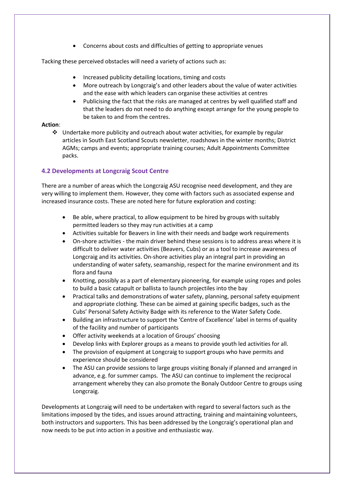• Concerns about costs and difficulties of getting to appropriate venues

Tacking these perceived obstacles will need a variety of actions such as:

- Increased publicity detailing locations, timing and costs
- More outreach by Longcraig's and other leaders about the value of water activities and the ease with which leaders can organise these activities at centres
- Publicising the fact that the risks are managed at centres by well qualified staff and that the leaders do not need to do anything except arrange for the young people to be taken to and from the centres.

#### **Action**:

❖ Undertake more publicity and outreach about water activities, for example by regular articles in South East Scotland Scouts newsletter, roadshows in the winter months; District AGMs; camps and events; appropriate training courses; Adult Appointments Committee packs.

#### **4.2 Developments at Longcraig Scout Centre**

There are a number of areas which the Longcraig ASU recognise need development, and they are very willing to implement them. However, they come with factors such as associated expense and increased insurance costs. These are noted here for future exploration and costing:

- Be able, where practical, to allow equipment to be hired by groups with suitably permitted leaders so they may run activities at a camp
- Activities suitable for Beavers in line with their needs and badge work requirements
- On-shore activities the main driver behind these sessions is to address areas where it is difficult to deliver water activities (Beavers, Cubs) or as a tool to increase awareness of Longcraig and its activities. On-shore activities play an integral part in providing an understanding of water safety, seamanship, respect for the marine environment and its flora and fauna
- Knotting, possibly as a part of elementary pioneering, for example using ropes and poles to build a basic catapult or ballista to launch projectiles into the bay
- Practical talks and demonstrations of water safety, planning, personal safety equipment and appropriate clothing. These can be aimed at gaining specific badges, such as the Cubs' Personal Safety Activity Badge with its reference to the Water Safety Code.
- Building an infrastructure to support the 'Centre of Excellence' label in terms of quality of the facility and number of participants
- Offer activity weekends at a location of Groups' choosing
- Develop links with Explorer groups as a means to provide youth led activities for all.
- The provision of equipment at Longcraig to support groups who have permits and experience should be considered
- The ASU can provide sessions to large groups visiting Bonaly if planned and arranged in advance, e.g. for summer camps. The ASU can continue to implement the reciprocal arrangement whereby they can also promote the Bonaly Outdoor Centre to groups using Longcraig.

Developments at Longcraig will need to be undertaken with regard to several factors such as the limitations imposed by the tides, and issues around attracting, training and maintaining volunteers, both instructors and supporters. This has been addressed by the Longcraig's operational plan and now needs to be put into action in a positive and enthusiastic way.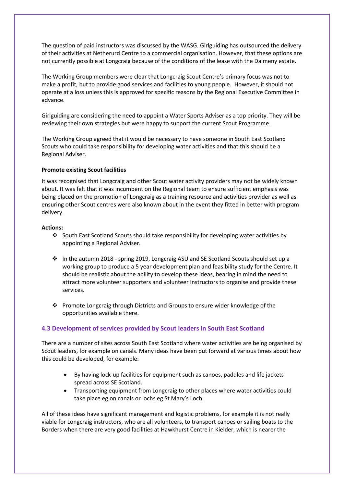The question of paid instructors was discussed by the WASG. Girlguiding has outsourced the delivery of their activities at Netherurd Centre to a commercial organisation. However, that these options are not currently possible at Longcraig because of the conditions of the lease with the Dalmeny estate.

The Working Group members were clear that Longcraig Scout Centre's primary focus was not to make a profit, but to provide good services and facilities to young people. However, it should not operate at a loss unless this is approved for specific reasons by the Regional Executive Committee in advance.

Girlguiding are considering the need to appoint a Water Sports Adviser as a top priority. They will be reviewing their own strategies but were happy to support the current Scout Programme.

The Working Group agreed that it would be necessary to have someone in South East Scotland Scouts who could take responsibility for developing water activities and that this should be a Regional Adviser.

#### **Promote existing Scout facilities**

It was recognised that Longcraig and other Scout water activity providers may not be widely known about. It was felt that it was incumbent on the Regional team to ensure sufficient emphasis was being placed on the promotion of Longcraig as a training resource and activities provider as well as ensuring other Scout centres were also known about in the event they fitted in better with program delivery.

#### **Actions:**

- ❖ South East Scotland Scouts should take responsibility for developing water activities by appointing a Regional Adviser.
- ❖ In the autumn 2018 spring 2019, Longcraig ASU and SE Scotland Scouts should set up a working group to produce a 5 year development plan and feasibility study for the Centre. It should be realistic about the ability to develop these ideas, bearing in mind the need to attract more volunteer supporters and volunteer instructors to organise and provide these services.
- ❖ Promote Longcraig through Districts and Groups to ensure wider knowledge of the opportunities available there.

#### **4.3 Development of services provided by Scout leaders in South East Scotland**

There are a number of sites across South East Scotland where water activities are being organised by Scout leaders, for example on canals. Many ideas have been put forward at various times about how this could be developed, for example:

- By having lock-up facilities for equipment such as canoes, paddles and life jackets spread across SE Scotland.
- Transporting equipment from Longcraig to other places where water activities could take place eg on canals or lochs eg St Mary's Loch.

All of these ideas have significant management and logistic problems, for example it is not really viable for Longcraig instructors, who are all volunteers, to transport canoes or sailing boats to the Borders when there are very good facilities at Hawkhurst Centre in Kielder, which is nearer the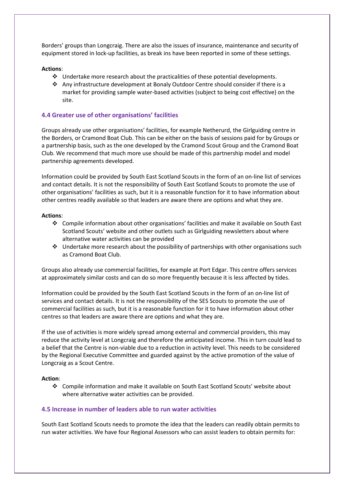Borders' groups than Longcraig. There are also the issues of insurance, maintenance and security of equipment stored in lock-up facilities, as break ins have been reported in some of these settings.

#### **Actions**:

- ❖ Undertake more research about the practicalities of these potential developments.
- ❖ Any infrastructure development at Bonaly Outdoor Centre should consider if there is a market for providing sample water-based activities (subject to being cost effective) on the site.

#### **4.4 Greater use of other organisations' facilities**

Groups already use other organisations' facilities, for example Netherurd, the Girlguiding centre in the Borders, or Cramond Boat Club. This can be either on the basis of sessions paid for by Groups or a partnership basis, such as the one developed by the Cramond Scout Group and the Cramond Boat Club. We recommend that much more use should be made of this partnership model and model partnership agreements developed.

Information could be provided by South East Scotland Scouts in the form of an on-line list of services and contact details. It is not the responsibility of South East Scotland Scouts to promote the use of other organisations' facilities as such, but it is a reasonable function for it to have information about other centres readily available so that leaders are aware there are options and what they are.

#### **Actions**:

- ❖ Compile information about other organisations' facilities and make it available on South East Scotland Scouts' website and other outlets such as Girlguiding newsletters about where alternative water activities can be provided
- ❖ Undertake more research about the possibility of partnerships with other organisations such as Cramond Boat Club.

Groups also already use commercial facilities, for example at Port Edgar. This centre offers services at approximately similar costs and can do so more frequently because it is less affected by tides.

Information could be provided by the South East Scotland Scouts in the form of an on-line list of services and contact details. It is not the responsibility of the SES Scouts to promote the use of commercial facilities as such, but it is a reasonable function for it to have information about other centres so that leaders are aware there are options and what they are.

If the use of activities is more widely spread among external and commercial providers, this may reduce the activity level at Longcraig and therefore the anticipated income. This in turn could lead to a belief that the Centre is non-viable due to a reduction in activity level. This needs to be considered by the Regional Executive Committee and guarded against by the active promotion of the value of Longcraig as a Scout Centre.

#### **Action**:

❖ Compile information and make it available on South East Scotland Scouts' website about where alternative water activities can be provided.

#### **4.5 Increase in number of leaders able to run water activities**

South East Scotland Scouts needs to promote the idea that the leaders can readily obtain permits to run water activities. We have four Regional Assessors who can assist leaders to obtain permits for: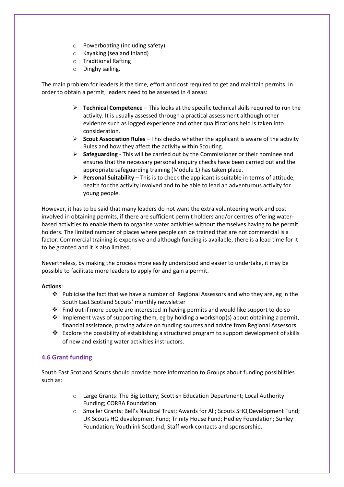- o Powerboating (including safety)
- o Kayaking (sea and inland)
- o Traditional Rafting
- o Dinghy sailing.

The main problem for leaders is the time, effort and cost required to get and maintain permits. In order to obtain a permit, leaders need to be assessed in 4 areas:

- ➢ **Technical Competence** This looks at the specific technical skills required to run the activity. It is usually assessed through a practical assessment although other evidence such as logged experience and other qualifications held is taken into consideration.
- ➢ **Scout Association Rules** This checks whether the applicant is aware of the activity Rules and how they affect the activity within Scouting.
- ➢ **Safeguarding** This will be carried out by the Commissioner or their nominee and ensures that the necessary personal enquiry checks have been carried out and the appropriate safeguarding training (Module 1) has taken place.
- ➢ **Personal Suitability** This is to check the applicant is suitable in terms of attitude, health for the activity involved and to be able to lead an adventurous activity for young people.

However, it has to be said that many leaders do not want the extra volunteering work and cost involved in obtaining permits, if there are sufficient permit holders and/or centres offering waterbased activities to enable them to organise water activities without themselves having to be permit holders. The limited number of places where people can be trained that are not commercial is a factor. Commercial training is expensive and although funding is available, there is a lead time for it to be granted and it is also limited.

Nevertheless, by making the process more easily understood and easier to undertake, it may be possible to facilitate more leaders to apply for and gain a permit.

#### **Actions**:

- ► Publicise the fact that we have a number of Regional Assessors and who they are, eg in the South East Scotland Scouts' monthly newsletter
- $\div$  Find out if more people are interested in having permits and would like support to do so
- ❖ Implement ways of supporting them, eg by holding a workshop(s) about obtaining a permit, financial assistance, proving advice on funding sources and advice from Regional Assessors.
- ❖ Explore the possibility of establishing a structured program to support development of skills of new and existing water activities instructors.

#### **4.6 Grant funding**

South East Scotland Scouts should provide more information to Groups about funding possibilities such as:

- o Large Grants: The Big Lottery; Scottish Education Department; Local Authority Funding; CORRA Foundation
- o Smaller Grants: Bell's Nautical Trust; Awards for All; Scouts SHQ Development Fund; UK Scouts HQ development Fund; Trinity House Fund; Hedley Foundation; Sunley Foundation; Youthlink Scotland; Staff work contacts and sponsorship.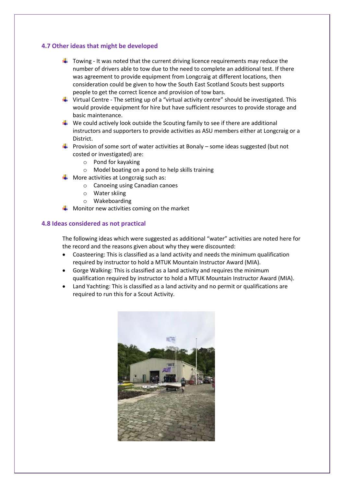#### **4.7 Other ideas that might be developed**

- $\ddot{\phantom{1}}$  Towing It was noted that the current driving licence requirements may reduce the number of drivers able to tow due to the need to complete an additional test. If there was agreement to provide equipment from Longcraig at different locations, then consideration could be given to how the South East Scotland Scouts best supports people to get the correct licence and provision of tow bars.
- $\ddot{\phantom{1}}$  Virtual Centre The setting up of a "virtual activity centre" should be investigated. This would provide equipment for hire but have sufficient resources to provide storage and basic maintenance.
- $\ddotplus$  We could actively look outside the Scouting family to see if there are additional instructors and supporters to provide activities as ASU members either at Longcraig or a District.
- **Provision of some sort of water activities at Bonaly some ideas suggested (but not** costed or investigated) are:
	- o Pond for kayaking
	- o Model boating on a pond to help skills training
- More activities at Longcraig such as:
	- o Canoeing using Canadian canoes
	- o Water skiing
	- o Wakeboarding
- $\frac{1}{2}$  Monitor new activities coming on the market

#### **4.8 Ideas considered as not practical**

The following ideas which were suggested as additional "water" activities are noted here for the record and the reasons given about why they were discounted:

- Coasteering: This is classified as a land activity and needs the minimum qualification required by instructor to hold a MTUK Mountain Instructor Award (MIA).
- Gorge Walking: This is classified as a land activity and requires the minimum qualification required by instructor to hold a MTUK Mountain Instructor Award (MIA).
- Land Yachting: This is classified as a land activity and no permit or qualifications are required to run this for a Scout Activity.

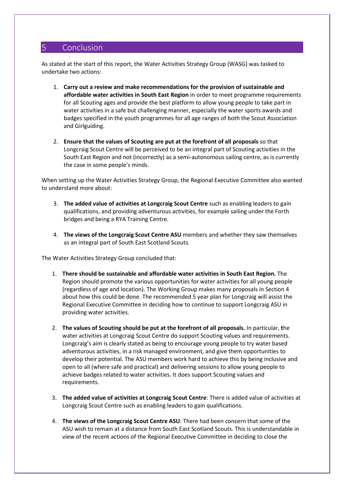# 5 Conclusion

As stated at the start of this report, the Water Activities Strategy Group (WASG) was tasked to undertake two actions:

- 1. **Carry out a review and make recommendations for the provision of sustainable and affordable water activities in South East Region** in order to meet programme requirements for all Scouting ages and provide the best platform to allow young people to take part in water activities in a safe but challenging manner, especially the water sports awards and badges specified in the youth programmes for all age ranges of both the Scout Association and Girlguiding.
- 2. **Ensure that the values of Scouting are put at the forefront of all proposals** so that Longcraig Scout Centre will be perceived to be an integral part of Scouting activities in the South East Region and not (incorrectly) as a semi-autonomous sailing centre, as is currently the case in some people's minds.

When setting up the Water Activities Strategy Group, the Regional Executive Committee also wanted to understand more about:

- 3. **The added value of activities at Longcraig Scout Centre** such as enabling leaders to gain qualifications, and providing adventurous activities, for example sailing under the Forth bridges and being a RYA Training Centre.
- 4. **The views of the Longcraig Scout Centre ASU** members and whether they saw themselves as an integral part of South East Scotland Scouts.

The Water Activities Strategy Group concluded that:

- 1. **There should be sustainable and affordable water activities in South East Region.** The Region should promote the various opportunities for water activities for all young people (regardless of age and location). The Working Group makes many proposals in Section 4 about how this could be done. The recommended 5 year plan for Longcraig will assist the Regional Executive Committee in deciding how to continue to support Longcraig ASU in providing water activities.
- 2. **The values of Scouting should be put at the forefront of all proposals.** In particular, **t**he water activities at Longcraig Scout Centre do support Scouting values and requirements. Longcraig's aim is clearly stated as being to encourage young people to try water based adventurous activities, in a risk managed environment, and give them opportunities to develop their potential. The ASU members work hard to achieve this by being inclusive and open to all (where safe and practical) and delivering sessions to allow young people to achieve badges related to water activities. It does support Scouting values and requirements.
- 3. **The added value of activities at Longcraig Scout Centre**: There is added value of activities at Longcraig Scout Centre such as enabling leaders to gain qualifications.
- 4. **The views of the Longcraig Scout Centre ASU**: There had been concern that some of the ASU wish to remain at a distance from South East Scotland Scouts. This is understandable in view of the recent actions of the Regional Executive Committee in deciding to close the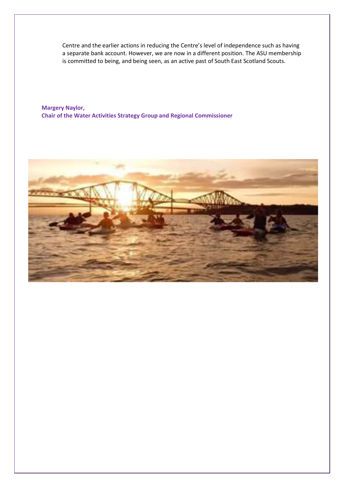Centre and the earlier actions in reducing the Centre's level of independence such as having a separate bank account. However, we are now in a different position. The ASU membership is committed to being, and being seen, as an active past of South East Scotland Scouts.

**Margery Naylor, Chair of the Water Activities Strategy Group and Regional Commissioner**

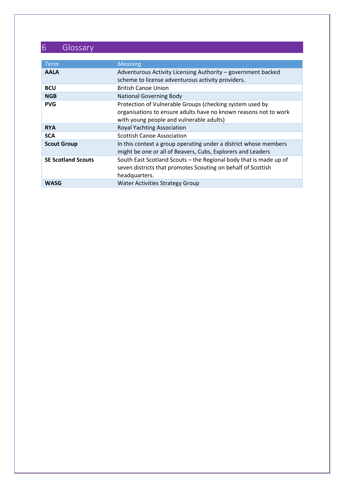# 6 Glossary

| <b>Term</b>               | <b>Meaning</b>                                                                                                                                                           |
|---------------------------|--------------------------------------------------------------------------------------------------------------------------------------------------------------------------|
| <b>AALA</b>               | Adventurous Activity Licensing Authority - government backed<br>scheme to license adventurous activity providers.                                                        |
| <b>BCU</b>                | <b>British Canoe Union</b>                                                                                                                                               |
| <b>NGB</b>                | <b>National Governing Body</b>                                                                                                                                           |
| <b>PVG</b>                | Protection of Vulnerable Groups (checking system used by<br>organisations to ensure adults have no known reasons not to work<br>with young people and vulnerable adults) |
| <b>RYA</b>                | Royal Yachting Association                                                                                                                                               |
| <b>SCA</b>                | <b>Scottish Canoe Association</b>                                                                                                                                        |
| <b>Scout Group</b>        | In this context a group operating under a district whose members<br>might be one or all of Beavers, Cubs, Explorers and Leaders                                          |
| <b>SE Scotland Scouts</b> | South East Scotland Scouts - the Regional body that is made up of<br>seven districts that promotes Scouting on behalf of Scottish<br>headquarters.                       |
| WASG                      | <b>Water Activities Strategy Group</b>                                                                                                                                   |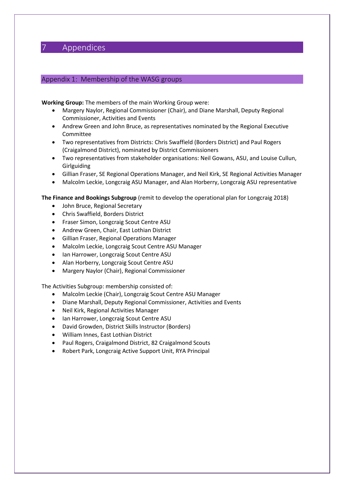# 7 Appendices

#### Appendix 1: Membership of the WASG groups

**Working Group:** The members of the main Working Group were:

- Margery Naylor, Regional Commissioner (Chair), and Diane Marshall, Deputy Regional Commissioner, Activities and Events
- Andrew Green and John Bruce, as representatives nominated by the Regional Executive Committee
- Two representatives from Districts: Chris Swaffield (Borders District) and Paul Rogers (Craigalmond District), nominated by District Commissioners
- Two representatives from stakeholder organisations: Neil Gowans, ASU, and Louise Cullun, Girlguiding
- Gillian Fraser, SE Regional Operations Manager, and Neil Kirk, SE Regional Activities Manager
- Malcolm Leckie, Longcraig ASU Manager, and Alan Horberry, Longcraig ASU representative

**The Finance and Bookings Subgroup** (remit to develop the operational plan for Longcraig 2018)

- John Bruce, Regional Secretary
- Chris Swaffield, Borders District
- Fraser Simon, Longcraig Scout Centre ASU
- Andrew Green, Chair, East Lothian District
- Gillian Fraser, Regional Operations Manager
- Malcolm Leckie, Longcraig Scout Centre ASU Manager
- Ian Harrower, Longcraig Scout Centre ASU
- Alan Horberry, Longcraig Scout Centre ASU
- Margery Naylor (Chair), Regional Commissioner

The Activities Subgroup: membership consisted of:

- Malcolm Leckie (Chair), Longcraig Scout Centre ASU Manager
- Diane Marshall, Deputy Regional Commissioner, Activities and Events
- Neil Kirk, Regional Activities Manager
- Ian Harrower, Longcraig Scout Centre ASU
- David Growden, District Skills Instructor (Borders)
- William Innes, East Lothian District
- Paul Rogers, Craigalmond District, 82 Craigalmond Scouts
- Robert Park, Longcraig Active Support Unit, RYA Principal